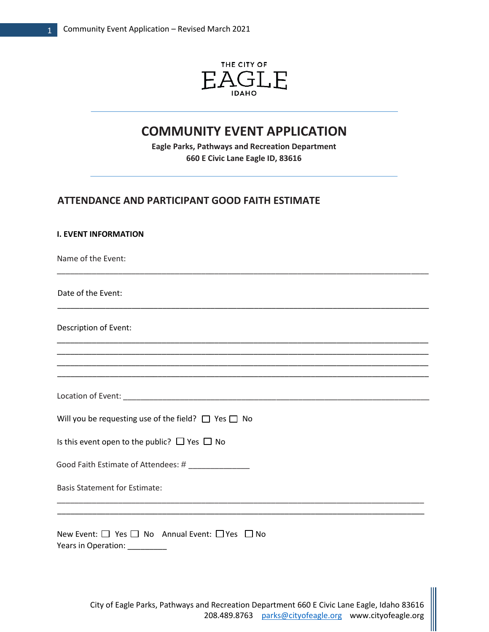1

**I. EVENT INFORMATION** 



# **COMMUNITY EVENT APPLICATION**

**Eagle Parks, Pathways and Recreation Department 660 E Civic Lane Eagle ID, 83616**

# **ATTENDANCE AND PARTICIPANT GOOD FAITH ESTIMATE**

| <u>I. EVENI INFORMATION</u>                                                      |
|----------------------------------------------------------------------------------|
| Name of the Event:                                                               |
| Date of the Event:                                                               |
| Description of Event:                                                            |
|                                                                                  |
|                                                                                  |
| Will you be requesting use of the field? $\Box$ Yes $\Box$ No                    |
| Is this event open to the public? $\Box$ Yes $\Box$ No                           |
| Good Faith Estimate of Attendees: # ______________                               |
| <b>Basis Statement for Estimate:</b>                                             |
|                                                                                  |
| New Event: □ Yes □ No Annual Event: □ Yes □ No<br>Years in Operation: __________ |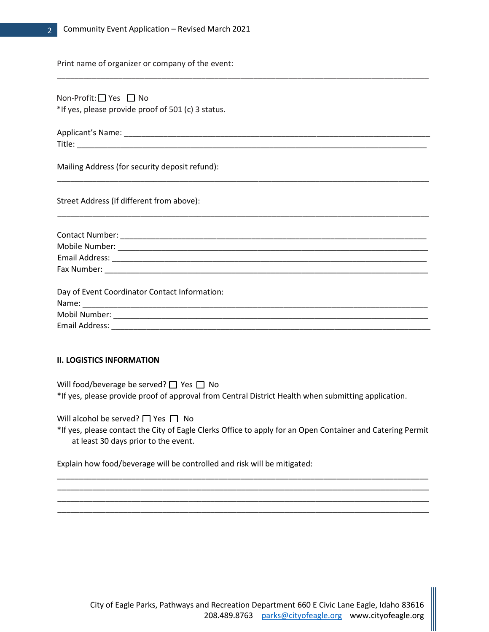Print name of organizer or company of the event:

| *If yes, please provide proof of 501 (c) 3 status. |  |  |
|----------------------------------------------------|--|--|
|                                                    |  |  |
|                                                    |  |  |
| Mailing Address (for security deposit refund):     |  |  |
| Street Address (if different from above):          |  |  |
|                                                    |  |  |
|                                                    |  |  |
|                                                    |  |  |
|                                                    |  |  |
|                                                    |  |  |
| Day of Event Coordinator Contact Information:      |  |  |
|                                                    |  |  |
|                                                    |  |  |

\_\_\_\_\_\_\_\_\_\_\_\_\_\_\_\_\_\_\_\_\_\_\_\_\_\_\_\_\_\_\_\_\_\_\_\_\_\_\_\_\_\_\_\_\_\_\_\_\_\_\_\_\_\_\_\_\_\_\_\_\_\_\_\_\_\_\_\_\_\_\_\_\_\_\_\_\_\_\_\_\_\_\_\_\_

# **II. LOGISTICS INFORMATION**

Will food/beverage be served?  $\Box$  Yes  $\Box$  No \*If yes, please provide proof of approval from Central District Health when submitting application.

Will alcohol be served?  $\Box$  Yes  $\Box$  No

\*If yes, please contact the City of Eagle Clerks Office to apply for an Open Container and Catering Permit at least 30 days prior to the event.

\_\_\_\_\_\_\_\_\_\_\_\_\_\_\_\_\_\_\_\_\_\_\_\_\_\_\_\_\_\_\_\_\_\_\_\_\_\_\_\_\_\_\_\_\_\_\_\_\_\_\_\_\_\_\_\_\_\_\_\_\_\_\_\_\_\_\_\_\_\_\_\_\_\_\_\_\_\_\_\_\_\_\_\_\_ \_\_\_\_\_\_\_\_\_\_\_\_\_\_\_\_\_\_\_\_\_\_\_\_\_\_\_\_\_\_\_\_\_\_\_\_\_\_\_\_\_\_\_\_\_\_\_\_\_\_\_\_\_\_\_\_\_\_\_\_\_\_\_\_\_\_\_\_\_\_\_\_\_\_\_\_\_\_\_\_\_\_\_\_\_ \_\_\_\_\_\_\_\_\_\_\_\_\_\_\_\_\_\_\_\_\_\_\_\_\_\_\_\_\_\_\_\_\_\_\_\_\_\_\_\_\_\_\_\_\_\_\_\_\_\_\_\_\_\_\_\_\_\_\_\_\_\_\_\_\_\_\_\_\_\_\_\_\_\_\_\_\_\_\_\_\_\_\_\_\_ \_\_\_\_\_\_\_\_\_\_\_\_\_\_\_\_\_\_\_\_\_\_\_\_\_\_\_\_\_\_\_\_\_\_\_\_\_\_\_\_\_\_\_\_\_\_\_\_\_\_\_\_\_\_\_\_\_\_\_\_\_\_\_\_\_\_\_\_\_\_\_\_\_\_\_\_\_\_\_\_\_\_\_\_\_

Explain how food/beverage will be controlled and risk will be mitigated: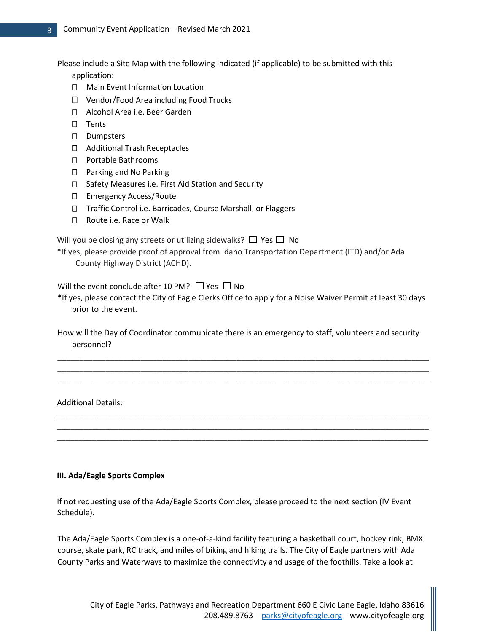Please include a Site Map with the following indicated (if applicable) to be submitted with this

application:

- □ Main Event Information Location
- □ Vendor/Food Area including Food Trucks
- □ Alcohol Area i.e. Beer Garden
- $\square$  Tents
- D Dumpsters
- □ Additional Trash Receptacles
- Portable Bathrooms
- □ Parking and No Parking
- □ Safety Measures i.e. First Aid Station and Security
- □ Emergency Access/Route
- □ Traffic Control i.e. Barricades, Course Marshall, or Flaggers
- □ Route i.e. Race or Walk

Will you be closing any streets or utilizing sidewalks?  $\Box$  Yes  $\Box$  No

\*If yes, please provide proof of approval from Idaho Transportation Department (ITD) and/or Ada County Highway District (ACHD).

Will the event conclude after 10 PM?  $\Box$  Yes  $\Box$  No

\*If yes, please contact the City of Eagle Clerks Office to apply for a Noise Waiver Permit at least 30 days prior to the event.

How will the Day of Coordinator communicate there is an emergency to staff, volunteers and security personnel?

\_\_\_\_\_\_\_\_\_\_\_\_\_\_\_\_\_\_\_\_\_\_\_\_\_\_\_\_\_\_\_\_\_\_\_\_\_\_\_\_\_\_\_\_\_\_\_\_\_\_\_\_\_\_\_\_\_\_\_\_\_\_\_\_\_\_\_\_\_\_\_\_\_\_\_\_\_\_\_\_\_\_\_\_\_ \_\_\_\_\_\_\_\_\_\_\_\_\_\_\_\_\_\_\_\_\_\_\_\_\_\_\_\_\_\_\_\_\_\_\_\_\_\_\_\_\_\_\_\_\_\_\_\_\_\_\_\_\_\_\_\_\_\_\_\_\_\_\_\_\_\_\_\_\_\_\_\_\_\_\_\_\_\_\_\_\_\_\_\_\_ \_\_\_\_\_\_\_\_\_\_\_\_\_\_\_\_\_\_\_\_\_\_\_\_\_\_\_\_\_\_\_\_\_\_\_\_\_\_\_\_\_\_\_\_\_\_\_\_\_\_\_\_\_\_\_\_\_\_\_\_\_\_\_\_\_\_\_\_\_\_\_\_\_\_\_\_\_\_\_\_\_\_\_\_\_

\_\_\_\_\_\_\_\_\_\_\_\_\_\_\_\_\_\_\_\_\_\_\_\_\_\_\_\_\_\_\_\_\_\_\_\_\_\_\_\_\_\_\_\_\_\_\_\_\_\_\_\_\_\_\_\_\_\_\_\_\_\_\_\_\_\_\_\_\_\_\_\_\_\_\_\_\_\_\_\_\_\_\_\_\_ \_\_\_\_\_\_\_\_\_\_\_\_\_\_\_\_\_\_\_\_\_\_\_\_\_\_\_\_\_\_\_\_\_\_\_\_\_\_\_\_\_\_\_\_\_\_\_\_\_\_\_\_\_\_\_\_\_\_\_\_\_\_\_\_\_\_\_\_\_\_\_\_\_\_\_\_\_\_\_\_\_\_\_\_\_ \_\_\_\_\_\_\_\_\_\_\_\_\_\_\_\_\_\_\_\_\_\_\_\_\_\_\_\_\_\_\_\_\_\_\_\_\_\_\_\_\_\_\_\_\_\_\_\_\_\_\_\_\_\_\_\_\_\_\_\_\_\_\_\_\_\_\_\_\_\_\_\_\_\_\_\_\_\_\_\_\_\_\_\_\_

Additional Details:

### **III. Ada/Eagle Sports Complex**

If not requesting use of the Ada/Eagle Sports Complex, please proceed to the next section (IV Event Schedule).

The Ada/Eagle Sports Complex is a one-of-a-kind facility featuring a basketball court, hockey rink, BMX course, skate park, RC track, and miles of biking and hiking trails. The City of Eagle partners with Ada County Parks and Waterways to maximize the connectivity and usage of the foothills. Take a look at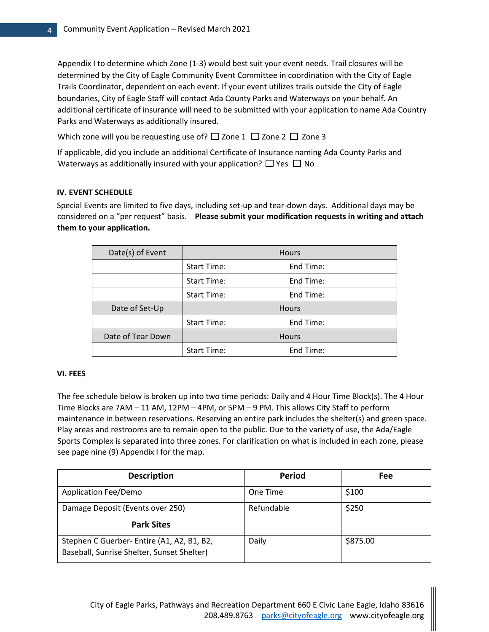Appendix I to determine which Zone (1-3) would best suit your event needs. Trail closures will be determined by the City of Eagle Community Event Committee in coordination with the City of Eagle Trails Coordinator, dependent on each event. If your event utilizes trails outside the City of Eagle boundaries, City of Eagle Staff will contact Ada County Parks and Waterways on your behalf. An additional certificate of insurance will need to be submitted with your application to name Ada Country Parks and Waterways as additionally insured.

Which zone will you be requesting use of?  $\Box$  Zone 1  $\Box$  Zone 2  $\Box$  Zone 3

If applicable, did you include an additional Certificate of Insurance naming Ada County Parks and Waterways as additionally insured with your application?  $\Box$  Yes  $\Box$  No

# **IV. EVENT SCHEDULE**

Special Events are limited to five days, including set-up and tear-down days. Additional days may be considered on a "per request" basis. **Please submit your modification requests in writing and attach them to your application.** 

| Date(s) of Event  |             | <b>Hours</b> |
|-------------------|-------------|--------------|
|                   | Start Time: | End Time:    |
|                   | Start Time: | End Time:    |
|                   | Start Time: | End Time:    |
| Date of Set-Up    |             | <b>Hours</b> |
|                   | Start Time: | End Time:    |
| Date of Tear Down |             | <b>Hours</b> |
|                   | Start Time: | End Time:    |

### **VI. FEES**

The fee schedule below is broken up into two time periods: Daily and 4 Hour Time Block(s). The 4 Hour Time Blocks are 7AM – 11 AM, 12PM – 4PM, or 5PM – 9 PM. This allows City Staff to perform maintenance in between reservations. Reserving an entire park includes the shelter(s) and green space. Play areas and restrooms are to remain open to the public. Due to the variety of use, the Ada/Eagle Sports Complex is separated into three zones. For clarification on what is included in each zone, please see page nine (9) Appendix I for the map.

| <b>Description</b>                                                                       | <b>Period</b> | Fee      |
|------------------------------------------------------------------------------------------|---------------|----------|
| <b>Application Fee/Demo</b>                                                              | One Time      | \$100    |
| Damage Deposit (Events over 250)                                                         | Refundable    | \$250    |
| <b>Park Sites</b>                                                                        |               |          |
| Stephen C Guerber- Entire (A1, A2, B1, B2,<br>Baseball, Sunrise Shelter, Sunset Shelter) | Daily         | \$875.00 |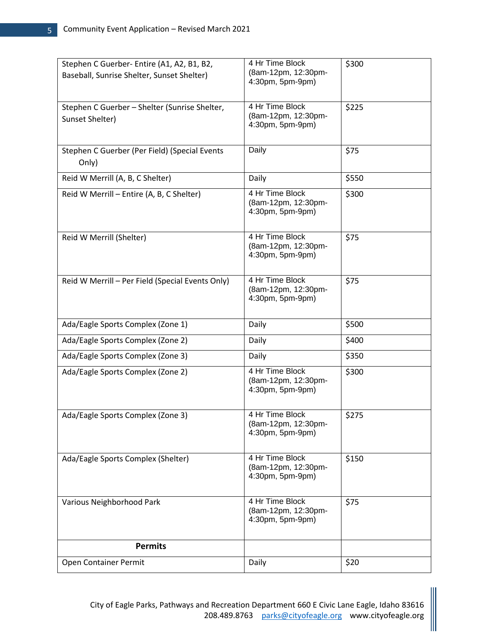| Stephen C Guerber- Entire (A1, A2, B1, B2,<br>Baseball, Sunrise Shelter, Sunset Shelter) | 4 Hr Time Block<br>(8am-12pm, 12:30pm-<br>4:30pm, 5pm-9pm) | \$300 |
|------------------------------------------------------------------------------------------|------------------------------------------------------------|-------|
| Stephen C Guerber - Shelter (Sunrise Shelter,<br>Sunset Shelter)                         | 4 Hr Time Block<br>(8am-12pm, 12:30pm-<br>4:30pm, 5pm-9pm) | \$225 |
| Stephen C Guerber (Per Field) (Special Events<br>Only)                                   | Daily                                                      | \$75  |
| Reid W Merrill (A, B, C Shelter)                                                         | Daily                                                      | \$550 |
| Reid W Merrill - Entire (A, B, C Shelter)                                                | 4 Hr Time Block<br>(8am-12pm, 12:30pm-<br>4:30pm, 5pm-9pm) | \$300 |
| Reid W Merrill (Shelter)                                                                 | 4 Hr Time Block<br>(8am-12pm, 12:30pm-<br>4:30pm, 5pm-9pm) | \$75  |
| Reid W Merrill - Per Field (Special Events Only)                                         | 4 Hr Time Block<br>(8am-12pm, 12:30pm-<br>4:30pm, 5pm-9pm) | \$75  |
| Ada/Eagle Sports Complex (Zone 1)                                                        | Daily                                                      | \$500 |
| Ada/Eagle Sports Complex (Zone 2)                                                        | Daily                                                      | \$400 |
| Ada/Eagle Sports Complex (Zone 3)                                                        | Daily                                                      | \$350 |
| Ada/Eagle Sports Complex (Zone 2)                                                        | 4 Hr Time Block<br>(8am-12pm, 12:30pm-<br>4:30pm, 5pm-9pm) | \$300 |
| Ada/Eagle Sports Complex (Zone 3)                                                        | 4 Hr Time Block<br>(8am-12pm, 12:30pm-<br>4:30pm, 5pm-9pm) | \$275 |
| Ada/Eagle Sports Complex (Shelter)                                                       | 4 Hr Time Block<br>(8am-12pm, 12:30pm-<br>4:30pm, 5pm-9pm) | \$150 |
| Various Neighborhood Park                                                                | 4 Hr Time Block<br>(8am-12pm, 12:30pm-<br>4:30pm, 5pm-9pm) | \$75  |
| <b>Permits</b>                                                                           |                                                            |       |
| Open Container Permit                                                                    | Daily                                                      | \$20  |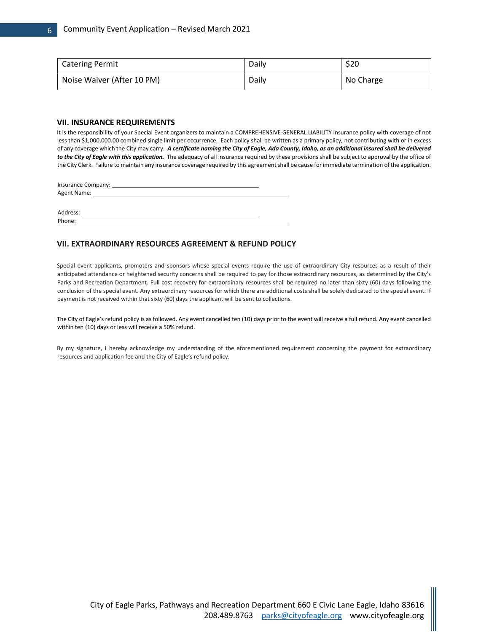| <b>Catering Permit</b>     | Daily | \$20      |
|----------------------------|-------|-----------|
| Noise Waiver (After 10 PM) | Daily | No Charge |

#### **VII. INSURANCE REQUIREMENTS**

It is the responsibility of your Special Event organizers to maintain a COMPREHENSIVE GENERAL LIABILITY insurance policy with coverage of not less than \$1,000,000.00 combined single limit per occurrence. Each policy shall be written as a primary policy, not contributing with or in excess of any coverage which the City may carry. *A certificate naming the City of Eagle, Ada County, Idaho, as an additional insured shall be delivered*  to the City of Eagle with this application. The adequacy of all insurance required by these provisions shall be subject to approval by the office of the City Clerk. Failure to maintain any insurance coverage required by this agreement shall be cause for immediate termination of the application.

Insurance Company: Agent Name:

Address: Phone: \_\_

#### **VII. EXTRAORDINARY RESOURCES AGREEMENT & REFUND POLICY**

Special event applicants, promoters and sponsors whose special events require the use of extraordinary City resources as a result of their anticipated attendance or heightened security concerns shall be required to pay for those extraordinary resources, as determined by the City's Parks and Recreation Department. Full cost recovery for extraordinary resources shall be required no later than sixty (60) days following the conclusion of the special event. Any extraordinary resources for which there are additional costs shall be solely dedicated to the special event. If payment is not received within that sixty (60) days the applicant will be sent to collections.

The City of Eagle's refund policy is as followed. Any event cancelled ten (10) days prior to the event will receive a full refund. Any event cancelled within ten (10) days or less will receive a 50% refund.

By my signature, I hereby acknowledge my understanding of the aforementioned requirement concerning the payment for extraordinary resources and application fee and the City of Eagle's refund policy.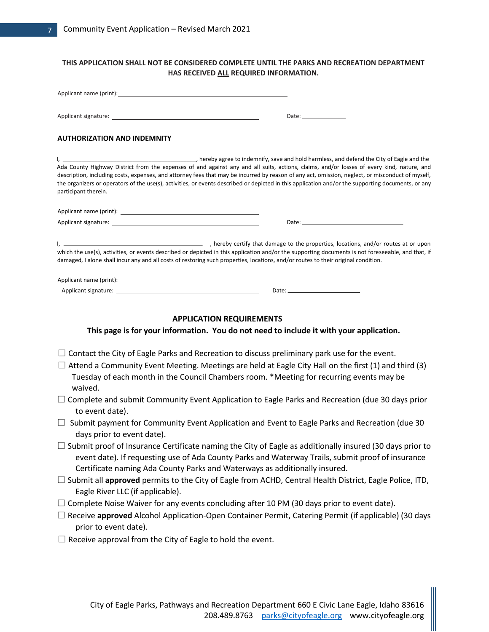| Applicant name (print): Notice and the set of the set of the set of the set of the set of the set of the set of the set of the set of the set of the set of the set of the set of the set of the set of the set of the set of  |                                                                                                                                                                                                                                                                                                                                                                                                                                                     |
|--------------------------------------------------------------------------------------------------------------------------------------------------------------------------------------------------------------------------------|-----------------------------------------------------------------------------------------------------------------------------------------------------------------------------------------------------------------------------------------------------------------------------------------------------------------------------------------------------------------------------------------------------------------------------------------------------|
|                                                                                                                                                                                                                                |                                                                                                                                                                                                                                                                                                                                                                                                                                                     |
| <b>AUTHORIZATION AND INDEMNITY</b>                                                                                                                                                                                             |                                                                                                                                                                                                                                                                                                                                                                                                                                                     |
| <u>l, en anno 1</u>                                                                                                                                                                                                            | hereby agree to indemnify, save and hold harmless, and defend the City of Eagle and the Conservation Conservation and the City of Eagle and the                                                                                                                                                                                                                                                                                                     |
| participant therein.                                                                                                                                                                                                           | Ada County Highway District from the expenses of and against any and all suits, actions, claims, and/or losses of every kind, nature, and<br>description, including costs, expenses, and attorney fees that may be incurred by reason of any act, omission, neglect, or misconduct of myself,<br>the organizers or operators of the use(s), activities, or events described or depicted in this application and/or the supporting documents, or any |
|                                                                                                                                                                                                                                |                                                                                                                                                                                                                                                                                                                                                                                                                                                     |
| Applicant signature: expansion of the state of the state of the state of the state of the state of the state of the state of the state of the state of the state of the state of the state of the state of the state of the st |                                                                                                                                                                                                                                                                                                                                                                                                                                                     |
|                                                                                                                                                                                                                                |                                                                                                                                                                                                                                                                                                                                                                                                                                                     |
|                                                                                                                                                                                                                                | ightharpoont of the properties, locations, and/or routes at or upon probably certify that damage to the properties, locations, and/or routes at or upon<br>which the use(s), activities, or events described or depicted in this application and/or the supporting documents is not foreseeable, and that, if<br>damaged, I alone shall incur any and all costs of restoring such properties, locations, and/or routes to their original condition. |
|                                                                                                                                                                                                                                |                                                                                                                                                                                                                                                                                                                                                                                                                                                     |
| Applicant signature: The contract of the contract of the contract of the contract of the contract of the contract of the contract of the contract of the contract of the contract of the contract of the contract of the contr |                                                                                                                                                                                                                                                                                                                                                                                                                                                     |
|                                                                                                                                                                                                                                | <b>APPLICATION REQUIREMENTS</b>                                                                                                                                                                                                                                                                                                                                                                                                                     |
|                                                                                                                                                                                                                                | This page is for your information. You do not need to include it with your application.                                                                                                                                                                                                                                                                                                                                                             |
|                                                                                                                                                                                                                                |                                                                                                                                                                                                                                                                                                                                                                                                                                                     |
|                                                                                                                                                                                                                                | $\Box$ Contact the City of Eagle Parks and Recreation to discuss preliminary park use for the event.                                                                                                                                                                                                                                                                                                                                                |
|                                                                                                                                                                                                                                | $\Box$ Attend a Community Event Meeting. Meetings are held at Eagle City Hall on the first (1) and third (3)<br>Tuesday of each month in the Council Chambers room. *Meeting for recurring events may be                                                                                                                                                                                                                                            |
| waived.<br>to event date).                                                                                                                                                                                                     | $\Box$ Complete and submit Community Event Application to Eagle Parks and Recreation (due 30 days prior                                                                                                                                                                                                                                                                                                                                             |
| days prior to event date).                                                                                                                                                                                                     | $\Box$ Submit payment for Community Event Application and Event to Eagle Parks and Recreation (due 30                                                                                                                                                                                                                                                                                                                                               |
|                                                                                                                                                                                                                                | $\Box$ Submit proof of Insurance Certificate naming the City of Eagle as additionally insured (30 days prior to<br>event date). If requesting use of Ada County Parks and Waterway Trails, submit proof of insurance<br>Certificate naming Ada County Parks and Waterways as additionally insured.                                                                                                                                                  |
| Eagle River LLC (if applicable).                                                                                                                                                                                               | $\Box$ Submit all approved permits to the City of Eagle from ACHD, Central Health District, Eagle Police, ITD,                                                                                                                                                                                                                                                                                                                                      |
|                                                                                                                                                                                                                                | $\Box$ Complete Noise Waiver for any events concluding after 10 PM (30 days prior to event date).                                                                                                                                                                                                                                                                                                                                                   |
| prior to event date).                                                                                                                                                                                                          | $\Box$ Receive approved Alcohol Application-Open Container Permit, Catering Permit (if applicable) (30 days                                                                                                                                                                                                                                                                                                                                         |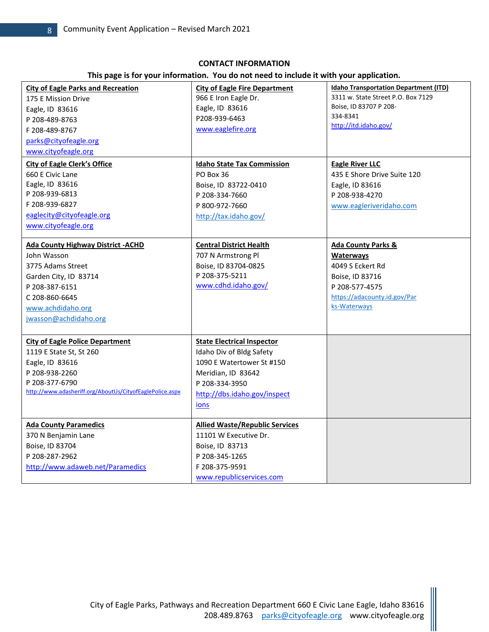# **CONTACT INFORMATION**

**This page is for your information. You do not need to include it with your application.** 

| <b>Idaho Transportation Department (ITD)</b><br><b>City of Eagle Parks and Recreation</b><br><b>City of Eagle Fire Department</b> |  |
|-----------------------------------------------------------------------------------------------------------------------------------|--|
| 3311 w. State Street P.O. Box 7129<br>966 E Iron Eagle Dr.<br>175 E Mission Drive                                                 |  |
| Boise, ID 83707 P 208-<br>Eagle, ID 83616<br>Eagle, ID 83616                                                                      |  |
| 334-8341<br>P208-939-6463<br>P 208-489-8763<br>http://itd.idaho.gov/                                                              |  |
| www.eaglefire.org<br>F 208-489-8767                                                                                               |  |
| parks@cityofeagle.org                                                                                                             |  |
| www.cityofeagle.org                                                                                                               |  |
| <b>City of Eagle Clerk's Office</b><br><b>Idaho State Tax Commission</b><br><b>Eagle River LLC</b>                                |  |
| 435 E Shore Drive Suite 120<br>660 E Civic Lane<br>PO Box 36                                                                      |  |
| Eagle, ID 83616<br>Boise, ID 83722-0410<br>Eagle, ID 83616                                                                        |  |
| P 208-939-6813<br>P 208-334-7660<br>P 208-938-4270                                                                                |  |
| F 208-939-6827<br>P 800-972-7660<br>www.eagleriveridaho.com                                                                       |  |
| eaglecity@cityofeagle.org<br>http://tax.idaho.gov/                                                                                |  |
| www.cityofeagle.org                                                                                                               |  |
|                                                                                                                                   |  |
| <b>Ada County Highway District - ACHD</b><br><b>Central District Health</b><br><b>Ada County Parks &amp;</b>                      |  |
| John Wasson<br>707 N Armstrong Pl<br><b>Waterways</b>                                                                             |  |
| 4049 S Eckert Rd<br>3775 Adams Street<br>Boise, ID 83704-0825                                                                     |  |
| P 208-375-5211<br>Garden City, ID 83714<br>Boise, ID 83716                                                                        |  |
| www.cdhd.idaho.gov/<br>P 208-387-6151<br>P 208-577-4575                                                                           |  |
| https://adacounty.id.gov/Par<br>C 208-860-6645                                                                                    |  |
| ks-Waterways<br>www.achdidaho.org                                                                                                 |  |
| jwasson@achdidaho.org                                                                                                             |  |
|                                                                                                                                   |  |
| <b>City of Eagle Police Department</b><br><b>State Electrical Inspector</b>                                                       |  |
| Idaho Div of Bldg Safety<br>1119 E State St, St 260                                                                               |  |
| Eagle, ID 83616<br>1090 E Watertower St #150                                                                                      |  |
| P 208-938-2260<br>Meridian, ID 83642                                                                                              |  |
| P 208-377-6790<br>P 208-334-3950                                                                                                  |  |
| http://www.adasheriff.org/AboutUs/CityofEaglePolice.aspx<br>http://dbs.idaho.gov/inspect                                          |  |
| ions                                                                                                                              |  |
|                                                                                                                                   |  |
| <b>Allied Waste/Republic Services</b><br><b>Ada County Paramedics</b>                                                             |  |
| 11101 W Executive Dr.<br>370 N Benjamin Lane                                                                                      |  |
| Boise, ID 83704<br>Boise, ID 83713                                                                                                |  |
| P 208-287-2962<br>P 208-345-1265                                                                                                  |  |
| http://www.adaweb.net/Paramedics<br>F 208-375-9591                                                                                |  |
| www.republicservices.com                                                                                                          |  |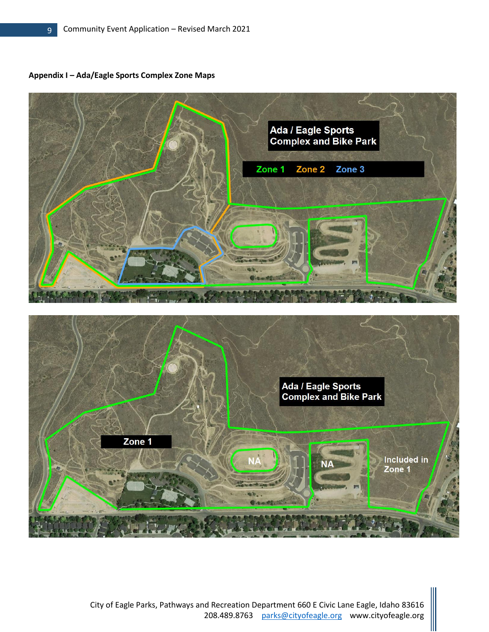**Appendix I – Ada/Eagle Sports Complex Zone Maps**